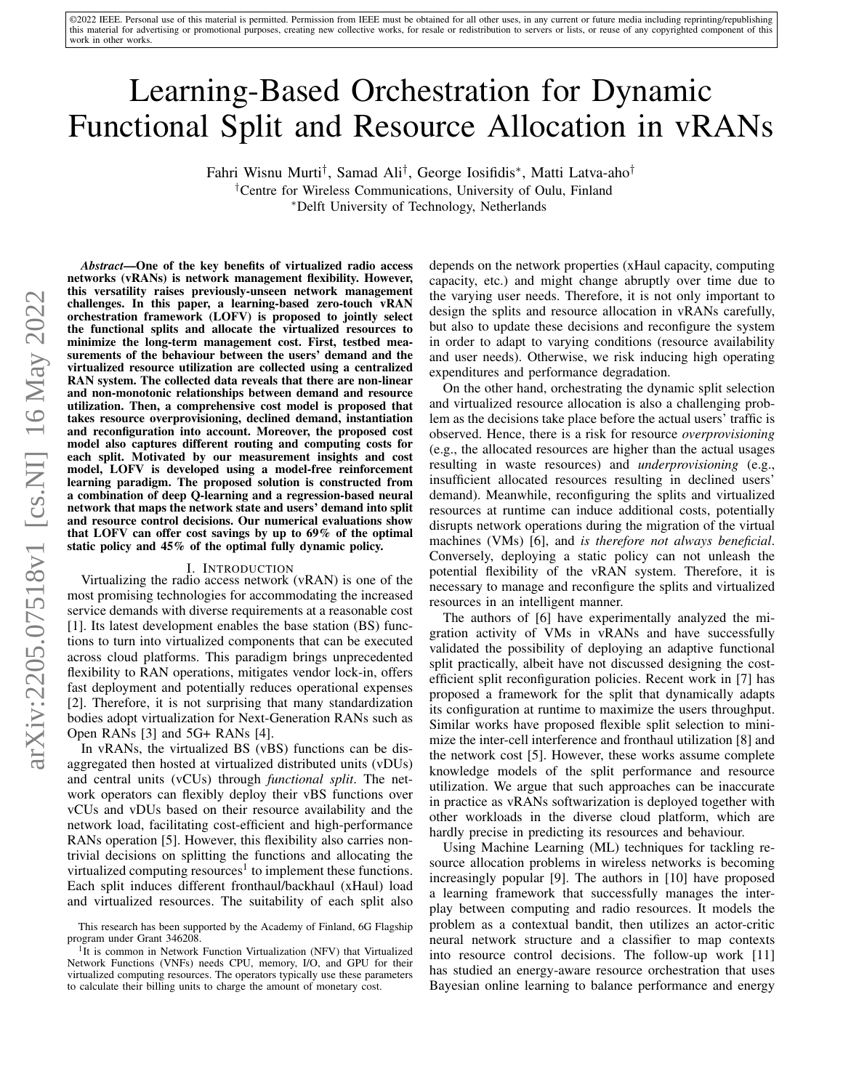©2022 IEEE. Personal use of this material is permitted. Permission from IEEE must be obtained for all other uses, in any current or future media including reprinting/republishing this material for advertising or promotional purposes, creating new collective works, for resale or redistribution to servers or lists, or reuse of any copyrighted component of this work in other works.

# Learning-Based Orchestration for Dynamic Functional Split and Resource Allocation in vRANs

Fahri Wisnu Murti† , Samad Ali† , George Iosifidis<sup>∗</sup> , Matti Latva-aho†

†Centre for Wireless Communications, University of Oulu, Finland <sup>∗</sup>Delft University of Technology, Netherlands

*Abstract*—One of the key benefits of virtualized radio access networks (vRANs) is network management flexibility. However, this versatility raises previously-unseen network management challenges. In this paper, a learning-based zero-touch vRAN orchestration framework (LOFV) is proposed to jointly select the functional splits and allocate the virtualized resources to minimize the long-term management cost. First, testbed measurements of the behaviour between the users' demand and the virtualized resource utilization are collected using a centralized RAN system. The collected data reveals that there are non-linear and non-monotonic relationships between demand and resource utilization. Then, a comprehensive cost model is proposed that takes resource overprovisioning, declined demand, instantiation and reconfiguration into account. Moreover, the proposed cost model also captures different routing and computing costs for each split. Motivated by our measurement insights and cost model, LOFV is developed using a model-free reinforcement learning paradigm. The proposed solution is constructed from a combination of deep Q-learning and a regression-based neural network that maps the network state and users' demand into split and resource control decisions. Our numerical evaluations show that LOFV can offer cost savings by up to 69% of the optimal static policy and 45% of the optimal fully dynamic policy.

# I. INTRODUCTION

Virtualizing the radio access network (vRAN) is one of the most promising technologies for accommodating the increased service demands with diverse requirements at a reasonable cost [\[1\]](#page-5-0). Its latest development enables the base station (BS) functions to turn into virtualized components that can be executed across cloud platforms. This paradigm brings unprecedented flexibility to RAN operations, mitigates vendor lock-in, offers fast deployment and potentially reduces operational expenses [\[2\]](#page-5-1). Therefore, it is not surprising that many standardization bodies adopt virtualization for Next-Generation RANs such as Open RANs [\[3\]](#page-5-2) and 5G+ RANs [\[4\]](#page-5-3).

In vRANs, the virtualized BS (vBS) functions can be disaggregated then hosted at virtualized distributed units (vDUs) and central units (vCUs) through *functional split*. The network operators can flexibly deploy their vBS functions over vCUs and vDUs based on their resource availability and the network load, facilitating cost-efficient and high-performance RANs operation [\[5\]](#page-5-4). However, this flexibility also carries nontrivial decisions on splitting the functions and allocating the virtualized computing resources<sup>[1](#page-0-0)</sup> to implement these functions. Each split induces different fronthaul/backhaul (xHaul) load and virtualized resources. The suitability of each split also depends on the network properties (xHaul capacity, computing capacity, etc.) and might change abruptly over time due to the varying user needs. Therefore, it is not only important to design the splits and resource allocation in vRANs carefully, but also to update these decisions and reconfigure the system in order to adapt to varying conditions (resource availability and user needs). Otherwise, we risk inducing high operating expenditures and performance degradation.

On the other hand, orchestrating the dynamic split selection and virtualized resource allocation is also a challenging problem as the decisions take place before the actual users' traffic is observed. Hence, there is a risk for resource *overprovisioning* (e.g., the allocated resources are higher than the actual usages resulting in waste resources) and *underprovisioning* (e.g., insufficient allocated resources resulting in declined users' demand). Meanwhile, reconfiguring the splits and virtualized resources at runtime can induce additional costs, potentially disrupts network operations during the migration of the virtual machines (VMs) [\[6\]](#page-5-5), and *is therefore not always beneficial*. Conversely, deploying a static policy can not unleash the potential flexibility of the vRAN system. Therefore, it is necessary to manage and reconfigure the splits and virtualized resources in an intelligent manner.

The authors of [\[6\]](#page-5-5) have experimentally analyzed the migration activity of VMs in vRANs and have successfully validated the possibility of deploying an adaptive functional split practically, albeit have not discussed designing the costefficient split reconfiguration policies. Recent work in [\[7\]](#page-5-6) has proposed a framework for the split that dynamically adapts its configuration at runtime to maximize the users throughput. Similar works have proposed flexible split selection to minimize the inter-cell interference and fronthaul utilization [\[8\]](#page-5-7) and the network cost [\[5\]](#page-5-4). However, these works assume complete knowledge models of the split performance and resource utilization. We argue that such approaches can be inaccurate in practice as vRANs softwarization is deployed together with other workloads in the diverse cloud platform, which are hardly precise in predicting its resources and behaviour.

Using Machine Learning (ML) techniques for tackling resource allocation problems in wireless networks is becoming increasingly popular [\[9\]](#page-5-8). The authors in [\[10\]](#page-5-9) have proposed a learning framework that successfully manages the interplay between computing and radio resources. It models the problem as a contextual bandit, then utilizes an actor-critic neural network structure and a classifier to map contexts into resource control decisions. The follow-up work [\[11\]](#page-5-10) has studied an energy-aware resource orchestration that uses Bayesian online learning to balance performance and energy

This research has been supported by the Academy of Finland, 6G Flagship program under Grant 346208.

<span id="page-0-0"></span><sup>&</sup>lt;sup>1</sup>It is common in Network Function Virtualization (NFV) that Virtualized Network Functions (VNFs) needs CPU, memory, I/O, and GPU for their virtualized computing resources. The operators typically use these parameters to calculate their billing units to charge the amount of monetary cost.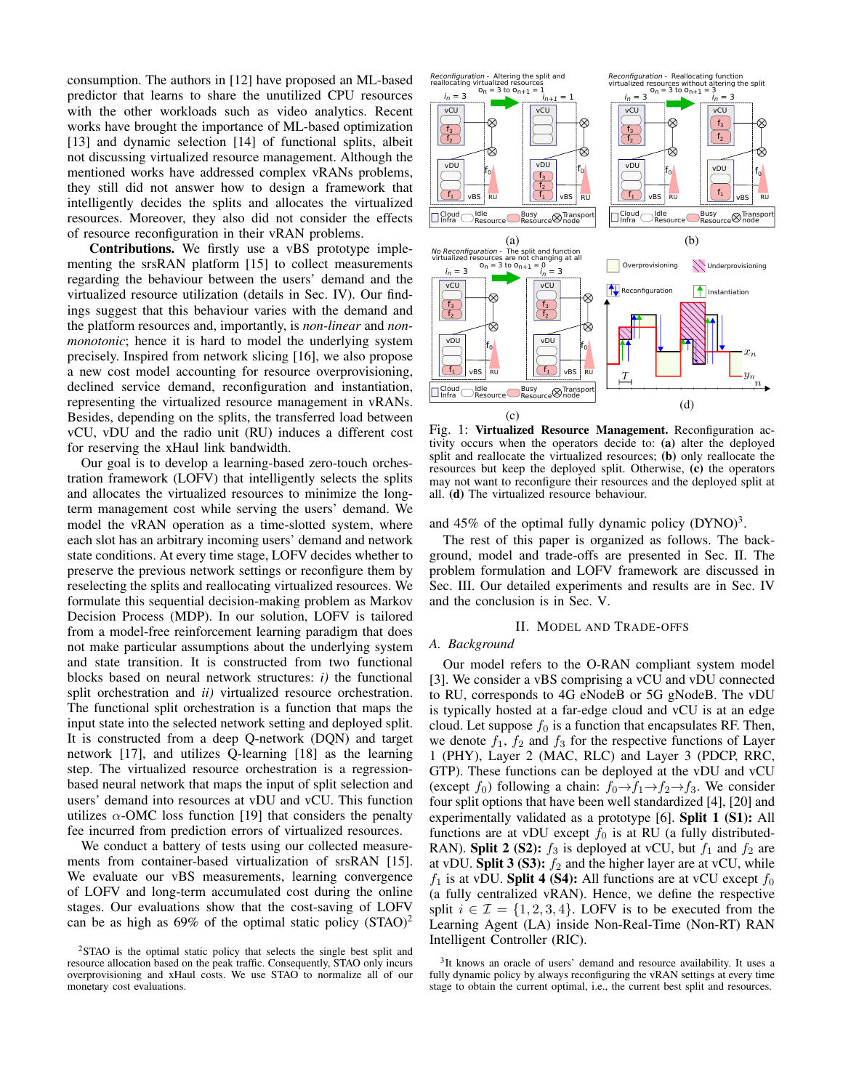consumption. The authors in [\[12\]](#page-5-11) have proposed an ML-based predictor that learns to share the unutilized CPU resources with the other workloads such as video analytics. Recent works have brought the importance of ML-based optimization [\[13\]](#page-5-12) and dynamic selection [\[14\]](#page-5-13) of functional splits, albeit not discussing virtualized resource management. Although the mentioned works have addressed complex vRANs problems, they still did not answer how to design a framework that intelligently decides the splits and allocates the virtualized resources. Moreover, they also did not consider the effects of resource reconfiguration in their vRAN problems.

Contributions. We firstly use a vBS prototype implementing the srsRAN platform [\[15\]](#page-5-14) to collect measurements regarding the behaviour between the users' demand and the virtualized resource utilization (details in Sec. [IV\)](#page-4-0). Our findings suggest that this behaviour varies with the demand and the platform resources and, importantly, is *non-linear* and *nonmonotonic*; hence it is hard to model the underlying system precisely. Inspired from network slicing [\[16\]](#page-5-15), we also propose a new cost model accounting for resource overprovisioning, declined service demand, reconfiguration and instantiation, representing the virtualized resource management in vRANs. Besides, depending on the splits, the transferred load between vCU, vDU and the radio unit (RU) induces a different cost for reserving the xHaul link bandwidth.

Our goal is to develop a learning-based zero-touch orchestration framework (LOFV) that intelligently selects the splits and allocates the virtualized resources to minimize the longterm management cost while serving the users' demand. We model the vRAN operation as a time-slotted system, where each slot has an arbitrary incoming users' demand and network state conditions. At every time stage, LOFV decides whether to preserve the previous network settings or reconfigure them by reselecting the splits and reallocating virtualized resources. We formulate this sequential decision-making problem as Markov Decision Process (MDP). In our solution, LOFV is tailored from a model-free reinforcement learning paradigm that does not make particular assumptions about the underlying system and state transition. It is constructed from two functional blocks based on neural network structures: *i)* the functional split orchestration and *ii)* virtualized resource orchestration. The functional split orchestration is a function that maps the input state into the selected network setting and deployed split. It is constructed from a deep Q-network (DQN) and target network [\[17\]](#page-5-16), and utilizes Q-learning [\[18\]](#page-5-17) as the learning step. The virtualized resource orchestration is a regressionbased neural network that maps the input of split selection and users' demand into resources at vDU and vCU. This function utilizes  $\alpha$ -OMC loss function [\[19\]](#page-5-18) that considers the penalty fee incurred from prediction errors of virtualized resources.

We conduct a battery of tests using our collected measurements from container-based virtualization of srsRAN [\[15\]](#page-5-14). We evaluate our vBS measurements, learning convergence of LOFV and long-term accumulated cost during the online stages. Our evaluations show that the cost-saving of LOFV can be as high as  $69\%$  of the optimal static policy  $(STAO)^2$  $(STAO)^2$ 

<span id="page-1-3"></span>

Fig. 1: Virtualized Resource Management. Reconfiguration activity occurs when the operators decide to: (a) alter the deployed split and reallocate the virtualized resources; (b) only reallocate the resources but keep the deployed split. Otherwise, (c) the operators may not want to reconfigure their resources and the deployed split at all. (d) The virtualized resource behaviour.

and 45% of the optimal fully dynamic policy  $(DYNO)^3$  $(DYNO)^3$ .

The rest of this paper is organized as follows. The background, model and trade-offs are presented in Sec. [II.](#page-1-2) The problem formulation and LOFV framework are discussed in Sec. [III.](#page-3-0) Our detailed experiments and results are in Sec. [IV](#page-4-0) and the conclusion is in Sec. [V.](#page-5-19)

#### II. MODEL AND TRADE-OFFS

## <span id="page-1-2"></span>*A. Background*

Our model refers to the O-RAN compliant system model [\[3\]](#page-5-2). We consider a vBS comprising a vCU and vDU connected to RU, corresponds to 4G eNodeB or 5G gNodeB. The vDU is typically hosted at a far-edge cloud and vCU is at an edge cloud. Let suppose  $f_0$  is a function that encapsulates RF. Then, we denote  $f_1$ ,  $f_2$  and  $f_3$  for the respective functions of Layer 1 (PHY), Layer 2 (MAC, RLC) and Layer 3 (PDCP, RRC, GTP). These functions can be deployed at the vDU and vCU (except  $f_0$ ) following a chain:  $f_0 \rightarrow f_1 \rightarrow f_2 \rightarrow f_3$ . We consider four split options that have been well standardized [\[4\]](#page-5-3), [\[20\]](#page-5-20) and experimentally validated as a prototype [\[6\]](#page-5-5). Split 1 (S1): All functions are at vDU except  $f_0$  is at RU (a fully distributed-RAN). Split 2 (S2):  $f_3$  is deployed at vCU, but  $f_1$  and  $f_2$  are at vDU. Split 3 (S3):  $f_2$  and the higher layer are at vCU, while  $f_1$  is at vDU. Split 4 (S4): All functions are at vCU except  $f_0$ (a fully centralized vRAN). Hence, we define the respective split  $i \in \mathcal{I} = \{1, 2, 3, 4\}$ . LOFV is to be executed from the Learning Agent (LA) inside Non-Real-Time (Non-RT) RAN Intelligent Controller (RIC).

<span id="page-1-0"></span><sup>2</sup>STAO is the optimal static policy that selects the single best split and resource allocation based on the peak traffic. Consequently, STAO only incurs overprovisioning and xHaul costs. We use STAO to normalize all of our monetary cost evaluations.

<span id="page-1-1"></span><sup>&</sup>lt;sup>3</sup>It knows an oracle of users' demand and resource availability. It uses a fully dynamic policy by always reconfiguring the vRAN settings at every time stage to obtain the current optimal, i.e., the current best split and resources.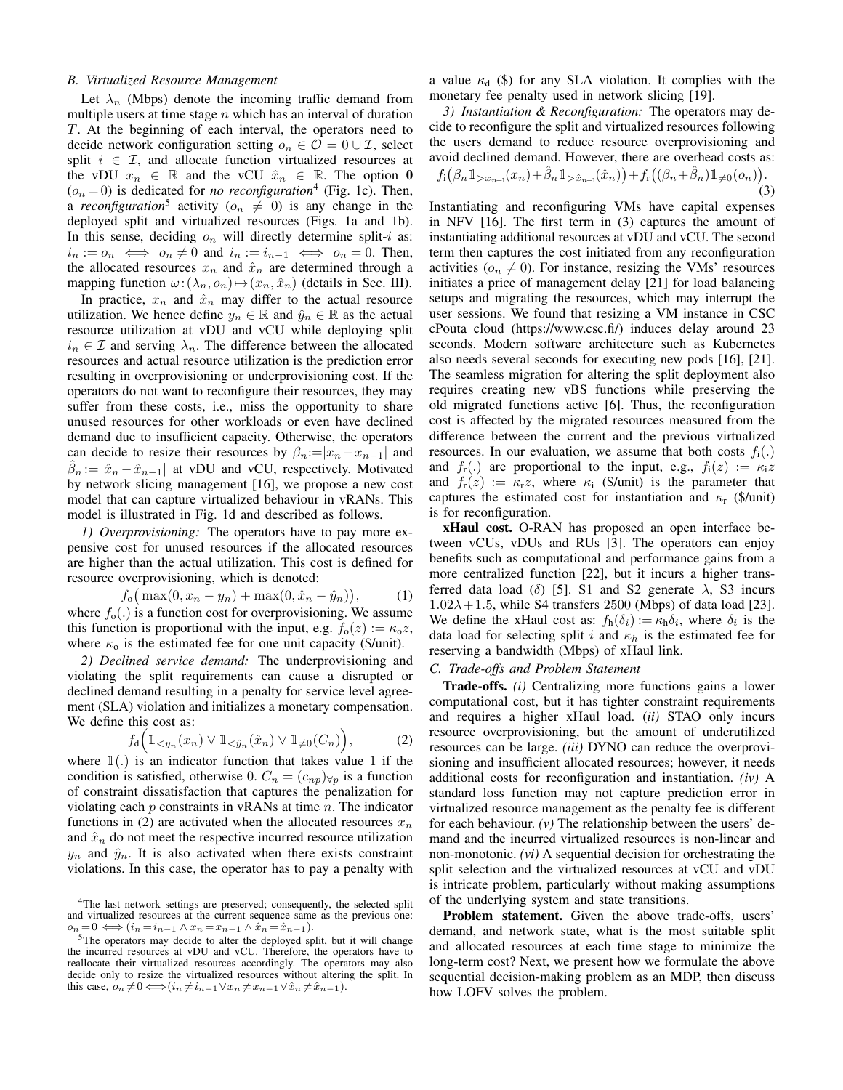#### *B. Virtualized Resource Management*

Let  $\lambda_n$  (Mbps) denote the incoming traffic demand from multiple users at time stage  $n$  which has an interval of duration T. At the beginning of each interval, the operators need to decide network configuration setting  $o_n \in \mathcal{O} = 0 \cup \mathcal{I}$ , select split  $i \in \mathcal{I}$ , and allocate function virtualized resources at the vDU  $x_n \in \mathbb{R}$  and the vCU  $\hat{x}_n \in \mathbb{R}$ . The option 0  $(o_n = 0)$  is dedicated for *no reconfiguration*<sup>[4](#page-2-0)</sup> (Fig. [1c\)](#page-1-3). Then, a *reconfiguration*<sup>[5](#page-2-1)</sup> activity ( $o_n \neq 0$ ) is any change in the deployed split and virtualized resources (Figs. [1a](#page-1-3) and [1b\)](#page-1-3). In this sense, deciding  $o_n$  will directly determine split-*i* as:  $i_n := o_n \iff o_n \neq 0$  and  $i_n := i_{n-1} \iff o_n = 0$ . Then, the allocated resources  $x_n$  and  $\hat{x}_n$  are determined through a mapping function  $\omega: (\lambda_n, o_n) \mapsto (x_n, \hat{x}_n)$  (details in Sec. [III\)](#page-3-0).

In practice,  $x_n$  and  $\hat{x}_n$  may differ to the actual resource utilization. We hence define  $y_n \in \mathbb{R}$  and  $\hat{y}_n \in \mathbb{R}$  as the actual resource utilization at vDU and vCU while deploying split  $i_n \in \mathcal{I}$  and serving  $\lambda_n$ . The difference between the allocated resources and actual resource utilization is the prediction error resulting in overprovisioning or underprovisioning cost. If the operators do not want to reconfigure their resources, they may suffer from these costs, *i.e.*, miss the opportunity to share unused resources for other workloads or even have declined demand due to insufficient capacity. Otherwise, the operators can decide to resize their resources by  $\beta_n := |x_n - x_{n-1}|$  and  $\hat{\beta}_n := |\hat{x}_n - \hat{x}_{n-1}|$  at vDU and vCU, respectively. Motivated by network slicing management [\[16\]](#page-5-15), we propose a new cost model that can capture virtualized behaviour in vRANs. This model is illustrated in Fig. [1d](#page-1-3) and described as follows.

*1) Overprovisioning:* The operators have to pay more expensive cost for unused resources if the allocated resources are higher than the actual utilization. This cost is defined for resource overprovisioning, which is denoted:

$$
f_o(\max(0, x_n - y_n) + \max(0, \hat{x}_n - \hat{y}_n)),
$$
 (1)

where  $f_0(.)$  is a function cost for overprovisioning. We assume this function is proportional with the input, e.g.  $f_0(z) := \kappa_0 z$ , where  $\kappa_0$  is the estimated fee for one unit capacity (\$/unit).

*2) Declined service demand:* The underprovisioning and violating the split requirements can cause a disrupted or declined demand resulting in a penalty for service level agreement (SLA) violation and initializes a monetary compensation. We define this cost as:

$$
f_{\mathrm{d}}\Big(\mathbb{1}_{\leq y_n}(x_n)\vee \mathbb{1}_{\leq \hat{y}_n}(\hat{x}_n)\vee \mathbb{1}_{\neq 0}(C_n)\Big),\tag{2}
$$

where  $\mathbb{1}(.)$  is an indicator function that takes value 1 if the condition is satisfied, otherwise 0.  $C_n = (c_{np})_{\forall p}$  is a function of constraint dissatisfaction that captures the penalization for violating each  $p$  constraints in vRANs at time  $n$ . The indicator functions in [\(2\)](#page-2-2) are activated when the allocated resources  $x_n$ and  $\hat{x}_n$  do not meet the respective incurred resource utilization  $y_n$  and  $\hat{y}_n$ . It is also activated when there exists constraint violations. In this case, the operator has to pay a penalty with a value  $\kappa_d$  (\$) for any SLA violation. It complies with the monetary fee penalty used in network slicing [\[19\]](#page-5-18).

*3) Instantiation & Reconfiguration:* The operators may decide to reconfigure the split and virtualized resources following the users demand to reduce resource overprovisioning and avoid declined demand. However, there are overhead costs as:

<span id="page-2-3"></span>
$$
f_{\mathbf{i}}\big(\beta_n \mathbb{1}_{>x_{n-1}}(x_n) + \hat{\beta}_n \mathbb{1}_{> \hat{x}_{n-1}}(\hat{x}_n)\big) + f_{\mathbf{r}}\big((\beta_n + \hat{\beta}_n) \mathbb{1}_{\neq 0}(o_n)\big). \tag{3}
$$

Instantiating and reconfiguring VMs have capital expenses in NFV [\[16\]](#page-5-15). The first term in [\(3\)](#page-2-3) captures the amount of instantiating additional resources at vDU and vCU. The second term then captures the cost initiated from any reconfiguration activities ( $o_n \neq 0$ ). For instance, resizing the VMs' resources initiates a price of management delay [\[21\]](#page-5-21) for load balancing setups and migrating the resources, which may interrupt the user sessions. We found that resizing a VM instance in CSC cPouta cloud (https://www.csc.fi/) induces delay around 23 seconds. Modern software architecture such as Kubernetes also needs several seconds for executing new pods [\[16\]](#page-5-15), [\[21\]](#page-5-21). The seamless migration for altering the split deployment also requires creating new vBS functions while preserving the old migrated functions active [\[6\]](#page-5-5). Thus, the reconfiguration cost is affected by the migrated resources measured from the difference between the current and the previous virtualized resources. In our evaluation, we assume that both costs  $f_i(.)$ and  $f_r(.)$  are proportional to the input, e.g.,  $f_i(z) := \kappa_i z$ and  $f_{r}(z) := \kappa_{r}z$ , where  $\kappa_{i}$  (\$/unit) is the parameter that captures the estimated cost for instantiation and  $\kappa$ <sub>r</sub> (\$/unit) is for reconfiguration.

xHaul cost. O-RAN has proposed an open interface between vCUs, vDUs and RUs [\[3\]](#page-5-2). The operators can enjoy benefits such as computational and performance gains from a more centralized function [\[22\]](#page-5-22), but it incurs a higher transferred data load ( $\delta$ ) [\[5\]](#page-5-4). S1 and S2 generate  $\lambda$ , S3 incurs  $1.02\lambda + 1.5$ , while S4 transfers 2500 (Mbps) of data load [\[23\]](#page-5-23). We define the xHaul cost as:  $f_h(\delta_i) := \kappa_h \delta_i$ , where  $\delta_i$  is the data load for selecting split i and  $\kappa_h$  is the estimated fee for reserving a bandwidth (Mbps) of xHaul link.

#### *C. Trade-offs and Problem Statement*

<span id="page-2-2"></span>Trade-offs. *(i)* Centralizing more functions gains a lower computational cost, but it has tighter constraint requirements and requires a higher xHaul load. (*ii)* STAO only incurs resource overprovisioning, but the amount of underutilized resources can be large. *(iii)* DYNO can reduce the overprovisioning and insufficient allocated resources; however, it needs additional costs for reconfiguration and instantiation. *(iv)* A standard loss function may not capture prediction error in virtualized resource management as the penalty fee is different for each behaviour. *(v)* The relationship between the users' demand and the incurred virtualized resources is non-linear and non-monotonic. *(vi)* A sequential decision for orchestrating the split selection and the virtualized resources at vCU and vDU is intricate problem, particularly without making assumptions of the underlying system and state transitions.

Problem statement. Given the above trade-offs, users' demand, and network state, what is the most suitable split and allocated resources at each time stage to minimize the long-term cost? Next, we present how we formulate the above sequential decision-making problem as an MDP, then discuss how LOFV solves the problem.

<span id="page-2-0"></span><sup>&</sup>lt;sup>4</sup>The last network settings are preserved; consequently, the selected split and virtualized resources at the current sequence same as the previous one:  $o_n = 0 \iff (i_n = i_{n-1} \land x_n = x_{n-1} \land \hat{x}_n = \hat{x}_{n-1}).$ 

<span id="page-2-1"></span><sup>5</sup>The operators may decide to alter the deployed split, but it will change the incurred resources at vDU and vCU. Therefore, the operators have to reallocate their virtualized resources accordingly. The operators may also decide only to resize the virtualized resources without altering the split. In this case,  $o_n \neq 0 \Longleftrightarrow (i_n \neq i_{n-1} \vee x_n \neq x_{n-1} \vee \hat{x}_n \neq \hat{x}_{n-1}).$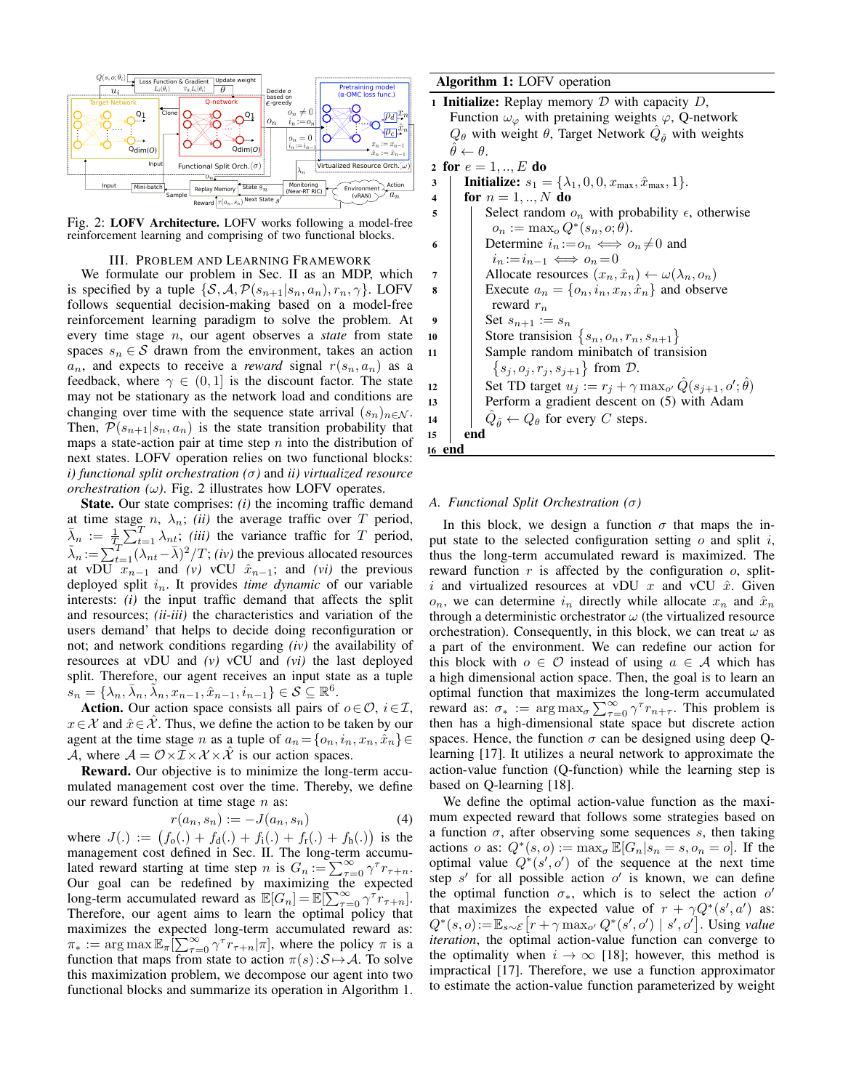<span id="page-3-1"></span>

Fig. 2: LOFV Architecture. LOFV works following a model-free reinforcement learning and comprising of two functional blocks.

## III. PROBLEM AND LEARNING FRAMEWORK

<span id="page-3-0"></span>We formulate our problem in Sec. [II](#page-1-2) as an MDP, which is specified by a tuple  $\{S, A, P(s_{n+1}|s_n, a_n), r_n, \gamma\}$ . LOFV follows sequential decision-making based on a model-free reinforcement learning paradigm to solve the problem. At every time stage n, our agent observes a *state* from state spaces  $s_n \in \mathcal{S}$  drawn from the environment, takes an action  $a_n$ , and expects to receive a *reward* signal  $r(s_n, a_n)$  as a feedback, where  $\gamma \in (0, 1]$  is the discount factor. The state may not be stationary as the network load and conditions are changing over time with the sequence state arrival  $(s_n)_{n \in \mathcal{N}}$ . Then,  $\mathcal{P}(s_{n+1}|s_n, a_n)$  is the state transition probability that maps a state-action pair at time step  $n$  into the distribution of next states. LOFV operation relies on two functional blocks: *i) functional split orchestration (*σ*)* and *ii) virtualized resource orchestration (* $\omega$ *)*. Fig. [2](#page-3-1) illustrates how LOFV operates.

State. Our state comprises: *(i)* the incoming traffic demand at time stage  $n$ ,  $\lambda_n$ ; *(ii)* the average traffic over T period,  $\bar{\lambda}_n := \frac{1}{T_n} \sum_{t=1}^T \lambda_{nt}$ ; *(iii)* the variance traffic for T period,  $\tilde{\lambda}_n := \sum_{t=1}^T (\lambda_{nt} - \bar{\lambda})^2 / T$ ; *(iv)* the previous allocated resources at vDU  $x_{n-1}$  and *(v)* vCU  $\hat{x}_{n-1}$ ; and *(vi)* the previous deployed split  $i_n$ . It provides *time dynamic* of our variable interests: *(i)* the input traffic demand that affects the split and resources; *(ii-iii)* the characteristics and variation of the users demand' that helps to decide doing reconfiguration or not; and network conditions regarding *(iv)* the availability of resources at vDU and *(v)* vCU and *(vi)* the last deployed split. Therefore, our agent receives an input state as a tuple  $s_n = \{ \lambda_n, \bar{\lambda}_n, \tilde{\lambda}_n, x_{n-1}, \hat{x}_{n-1}, i_{n-1} \} \in \mathcal{S} \subseteq \mathbb{R}^6.$ 

Action. Our action space consists all pairs of  $o \in \mathcal{O}$ ,  $i \in \mathcal{I}$ ,  $x \in \mathcal{X}$  and  $\hat{x} \in \mathcal{X}$ . Thus, we define the action to be taken by our agent at the time stage n as a tuple of  $a_n = \{o_n, i_n, x_n, \hat{x}_n\}$ A, where  $A = \mathcal{O} \times \mathcal{I} \times \mathcal{X} \times \mathcal{X}$  is our action spaces.

Reward. Our objective is to minimize the long-term accumulated management cost over the time. Thereby, we define our reward function at time stage  $n$  as:

$$
r(a_n, s_n) := -J(a_n, s_n) \tag{4}
$$

where  $J(.) := (f_0(.) + f_d(.) + f_i(.) + f_r(.) + f_h(.)$  is the management cost defined in Sec. [II.](#page-1-2) The long-term accumulated reward starting at time step n is  $G_n := \sum_{\tau=0}^{\infty} \gamma^{\tau} r_{\tau+n}$ . Our goal can be redefined by maximizing the expected long-term accumulated reward as  $\mathbb{E}[G_n] = \mathbb{E}[\sum_{\tau=0}^{\infty} \gamma^{\tau} r_{\tau+n}].$ Therefore, our agent aims to learn the optimal policy that maximizes the expected long-term accumulated reward as:  $\pi_* := \arg \max \mathbb{E}_{\pi} \left[ \sum_{\tau=0}^{\infty} \gamma^{\tau} r_{\tau+n} | \pi \right]$ , where the policy  $\pi$  is a function that maps from state to action  $\pi(s): S \mapsto A$ . To solve this maximization problem, we decompose our agent into two functional blocks and summarize its operation in Algorithm [1.](#page-3-2) Algorithm 1: LOFV operation

<span id="page-3-2"></span>1 **Initialize:** Replay memory  $D$  with capacity  $D$ , Function  $\omega_{\varphi}$  with pretaining weights  $\varphi$ , Q-network  $Q_{\theta}$  with weight  $\theta$ , Target Network  $\hat{Q}_{\hat{\theta}}$  with weights  $\hat{\theta} \leftarrow \theta.$ 

2 for 
$$
e = 1, ..., E
$$
 do

3 | **Initialize:**  $s_1 = {\lambda_1, 0, 0, x_{\text{max}}, \hat{x}_{\text{max}}, 1}.$ 4 **for**  $n = 1, ..., N$  do  $\mathfrak{s}$  | Select random  $o_n$  with probability  $\epsilon$ , otherwise  $o_n := \max_o Q^*(s_n, o; \bar{\theta}).$ 6 Determine  $i_n := o_n \iff o_n \neq 0$  and  $i_n := i_{n-1} \iff o_n = 0$ 7 | Allocate resources  $(x_n, \hat{x}_n) \leftarrow \omega(\lambda_n, o_n)$ 8 | Execute  $a_n = \{o_n, i_n, x_n, \hat{x}_n\}$  and observe reward  $r_n$ 9 | Set  $s_{n+1} := s_n$ 10 Store transision  $\{s_n, o_n, r_n, s_{n+1}\}\$ 11 Sample random minibatch of transision  $\{s_j, o_j, r_j, s_{j+1}\}\$ from  $\mathcal{D}$ . 12 Set TD target  $u_j := r_j + \gamma \max_{o'} \hat{Q}(s_{j+1}, o'; \hat{\theta})$ 13 **Perform a gradient descent on [\(5\)](#page-4-1) with Adam** 14  $\left| \right|$   $\hat{Q}_{\hat{\theta}} \leftarrow Q_{\theta}$  for every C steps. 15 | end 16 end

## *A. Functional Split Orchestration (*σ*)*

In this block, we design a function  $\sigma$  that maps the input state to the selected configuration setting  $\sigma$  and split i, thus the long-term accumulated reward is maximized. The reward function  $r$  is affected by the configuration  $o$ , spliti and virtualized resources at vDU  $x$  and vCU  $\hat{x}$ . Given  $o_n$ , we can determine  $i_n$  directly while allocate  $x_n$  and  $\hat{x}_n$ through a deterministic orchestrator  $\omega$  (the virtualized resource orchestration). Consequently, in this block, we can treat  $\omega$  as a part of the environment. We can redefine our action for this block with  $o \in \mathcal{O}$  instead of using  $a \in \mathcal{A}$  which has a high dimensional action space. Then, the goal is to learn an optimal function that maximizes the long-term accumulated reward as:  $\sigma_* := \arg \max_{\sigma} \sum_{\tau=0}^{\infty} \gamma^{\tau} r_{n+\tau}$ . This problem is then has a high-dimensional state space but discrete action spaces. Hence, the function  $\sigma$  can be designed using deep Qlearning [\[17\]](#page-5-16). It utilizes a neural network to approximate the action-value function (Q-function) while the learning step is based on Q-learning [\[18\]](#page-5-17).

We define the optimal action-value function as the maximum expected reward that follows some strategies based on a function  $\sigma$ , after observing some sequences s, then taking actions o as:  $Q^*(s, o) := \max_{\sigma} \mathbb{E}[G_n | s_n = s, o_n = o]$ . If the optimal value  $Q^*(s', o')$  of the sequence at the next time step  $s'$  for all possible action  $o'$  is known, we can define the optimal function  $\sigma_*$ , which is to select the action  $o'$ that maximizes the expected value of  $r + \gamma Q^*(s', a')$  as:  $Q^*(s, o) := \mathbb{E}_{s \sim \mathcal{E}} \left[ r + \gamma \max_{o'} Q^*(s', o') \mid s', o' \right]$ . Using *value iteration*, the optimal action-value function can converge to the optimality when  $i \rightarrow \infty$  [\[18\]](#page-5-17); however, this method is impractical [\[17\]](#page-5-16). Therefore, we use a function approximator to estimate the action-value function parameterized by weight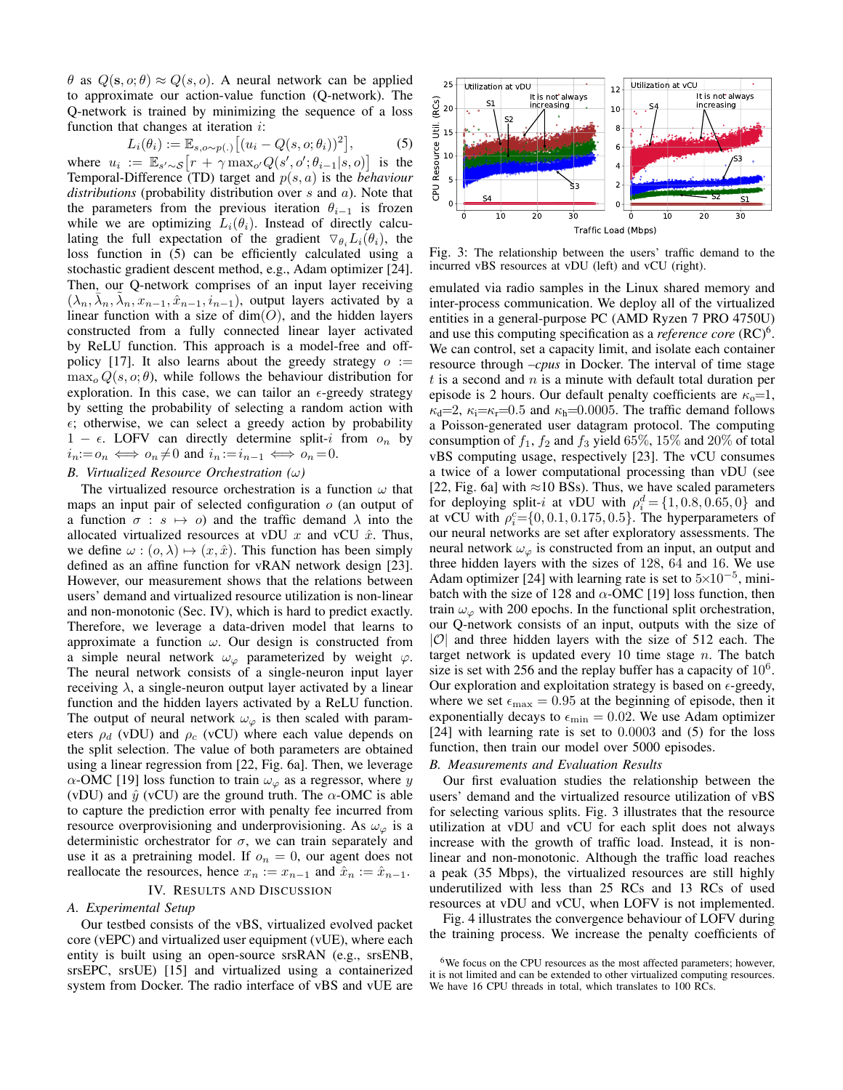$\theta$  as  $Q(\mathbf{s}, o; \theta) \approx Q(s, o)$ . A neural network can be applied to approximate our action-value function (Q-network). The Q-network is trained by minimizing the sequence of a loss function that changes at iteration  $i$ :

$$
L_i(\theta_i) := \mathbb{E}_{s, o \sim p(.)} \left[ (u_i - Q(s, o; \theta_i))^2 \right],\tag{5}
$$

where  $u_i := \mathbb{E}_{s' \sim S} \left[ r + \gamma \max_{o'} Q(s', o'; \theta_{i-1} | s, o) \right]$  is the Temporal-Difference (TD) target and p(s, a) is the *behaviour distributions* (probability distribution over s and a). Note that the parameters from the previous iteration  $\theta_{i-1}$  is frozen while we are optimizing  $L_i(\theta_i)$ . Instead of directly calculating the full expectation of the gradient  $\nabla_{\theta_i}L_i(\theta_i)$ , the loss function in [\(5\)](#page-4-1) can be efficiently calculated using a stochastic gradient descent method, e.g., Adam optimizer [\[24\]](#page-5-24). Then, our Q-network comprises of an input layer receiving  $(\lambda_n, \bar{\lambda}_n, \bar{\lambda}_n, x_{n-1}, \hat{x}_{n-1}, \ldots)$ , output layers activated by a linear function with a size of  $dim(O)$ , and the hidden layers constructed from a fully connected linear layer activated by ReLU function. This approach is a model-free and off-policy [\[17\]](#page-5-16). It also learns about the greedy strategy  $o :=$  $\max_{o} Q(s, o; \theta)$ , while follows the behaviour distribution for exploration. In this case, we can tailor an  $\epsilon$ -greedy strategy by setting the probability of selecting a random action with  $\epsilon$ ; otherwise, we can select a greedy action by probability  $1 - \epsilon$ . LOFV can directly determine split-i from  $o_n$  by  $i_n:=o_n \iff o_n\neq 0$  and  $i_n:=i_{n-1} \iff o_n=0$ .

# *B. Virtualized Resource Orchestration (*ω*)*

The virtualized resource orchestration is a function  $\omega$  that maps an input pair of selected configuration  $o$  (an output of a function  $\sigma : s \mapsto o$  and the traffic demand  $\lambda$  into the allocated virtualized resources at vDU  $x$  and vCU  $\hat{x}$ . Thus, we define  $\omega$  :  $(o, \lambda) \mapsto (x, \hat{x})$ . This function has been simply defined as an affine function for vRAN network design [\[23\]](#page-5-23). However, our measurement shows that the relations between users' demand and virtualized resource utilization is non-linear and non-monotonic (Sec. [IV\)](#page-4-0), which is hard to predict exactly. Therefore, we leverage a data-driven model that learns to approximate a function  $\omega$ . Our design is constructed from a simple neural network  $\omega_{\varphi}$  parameterized by weight  $\varphi$ . The neural network consists of a single-neuron input layer receiving  $\lambda$ , a single-neuron output layer activated by a linear function and the hidden layers activated by a ReLU function. The output of neural network  $\omega_{\varphi}$  is then scaled with parameters  $\rho_d$  (vDU) and  $\rho_c$  (vCU) where each value depends on the split selection. The value of both parameters are obtained using a linear regression from [\[22,](#page-5-22) Fig. 6a]. Then, we leverage  $\alpha$ -OMC [\[19\]](#page-5-18) loss function to train  $\omega_{\varphi}$  as a regressor, where y (vDU) and  $\hat{y}$  (vCU) are the ground truth. The  $\alpha$ -OMC is able to capture the prediction error with penalty fee incurred from resource overprovisioning and underprovisioning. As  $\omega_{\varphi}$  is a deterministic orchestrator for  $\sigma$ , we can train separately and use it as a pretraining model. If  $o_n = 0$ , our agent does not reallocate the resources, hence  $x_n := x_{n-1}$  and  $\hat{x}_n := \hat{x}_{n-1}$ .

# IV. RESULTS AND DISCUSSION

# <span id="page-4-0"></span>*A. Experimental Setup*

Our testbed consists of the vBS, virtualized evolved packet core (vEPC) and virtualized user equipment (vUE), where each entity is built using an open-source srsRAN (e.g., srsENB, srsEPC, srsUE) [\[15\]](#page-5-14) and virtualized using a containerized system from Docker. The radio interface of vBS and vUE are

<span id="page-4-3"></span><span id="page-4-1"></span>

Fig. 3: The relationship between the users' traffic demand to the incurred vBS resources at vDU (left) and vCU (right).

emulated via radio samples in the Linux shared memory and inter-process communication. We deploy all of the virtualized entities in a general-purpose PC (AMD Ryzen 7 PRO 4750U) and use this computing specification as a *reference core* (RC)<sup>[6](#page-4-2)</sup>. We can control, set a capacity limit, and isolate each container resource through *–cpus* in Docker. The interval of time stage  $t$  is a second and  $n$  is a minute with default total duration per episode is 2 hours. Our default penalty coefficients are  $\kappa_0=1$ ,  $\kappa_d=2$ ,  $\kappa_i=\kappa_r=0.5$  and  $\kappa_h=0.0005$ . The traffic demand follows a Poisson-generated user datagram protocol. The computing consumption of  $f_1$ ,  $f_2$  and  $f_3$  yield 65%, 15% and 20% of total vBS computing usage, respectively [\[23\]](#page-5-23). The vCU consumes a twice of a lower computational processing than vDU (see [\[22,](#page-5-22) Fig. 6a] with  $\approx$ 10 BSs). Thus, we have scaled parameters for deploying split-*i* at vDU with  $\rho_i^d = \{1, 0.8, 0.65, 0\}$  and at vCU with  $\rho_i^c = \{0, 0.1, 0.175, 0.5\}$ . The hyperparameters of our neural networks are set after exploratory assessments. The neural network  $\omega_{\varphi}$  is constructed from an input, an output and three hidden layers with the sizes of 128, 64 and 16. We use Adam optimizer [\[24\]](#page-5-24) with learning rate is set to  $5\times10^{-5}$ , minibatch with the size of 128 and  $\alpha$ -OMC [\[19\]](#page-5-18) loss function, then train  $\omega_{\varphi}$  with 200 epochs. In the functional split orchestration, our Q-network consists of an input, outputs with the size of  $|O|$  and three hidden layers with the size of 512 each. The target network is updated every 10 time stage  $n$ . The batch size is set with 256 and the replay buffer has a capacity of  $10^6$ . Our exploration and exploitation strategy is based on  $\epsilon$ -greedy, where we set  $\epsilon_{\text{max}} = 0.95$  at the beginning of episode, then it exponentially decays to  $\epsilon_{\min} = 0.02$ . We use Adam optimizer [\[24\]](#page-5-24) with learning rate is set to 0.0003 and [\(5\)](#page-4-1) for the loss function, then train our model over 5000 episodes.

## *B. Measurements and Evaluation Results*

Our first evaluation studies the relationship between the users' demand and the virtualized resource utilization of vBS for selecting various splits. Fig. [3](#page-4-3) illustrates that the resource utilization at vDU and vCU for each split does not always increase with the growth of traffic load. Instead, it is nonlinear and non-monotonic. Although the traffic load reaches a peak (35 Mbps), the virtualized resources are still highly underutilized with less than 25 RCs and 13 RCs of used resources at vDU and vCU, when LOFV is not implemented.

Fig. [4](#page-5-25) illustrates the convergence behaviour of LOFV during the training process. We increase the penalty coefficients of

<span id="page-4-2"></span><sup>&</sup>lt;sup>6</sup>We focus on the CPU resources as the most affected parameters; however, it is not limited and can be extended to other virtualized computing resources. We have 16 CPU threads in total, which translates to 100 RCs.